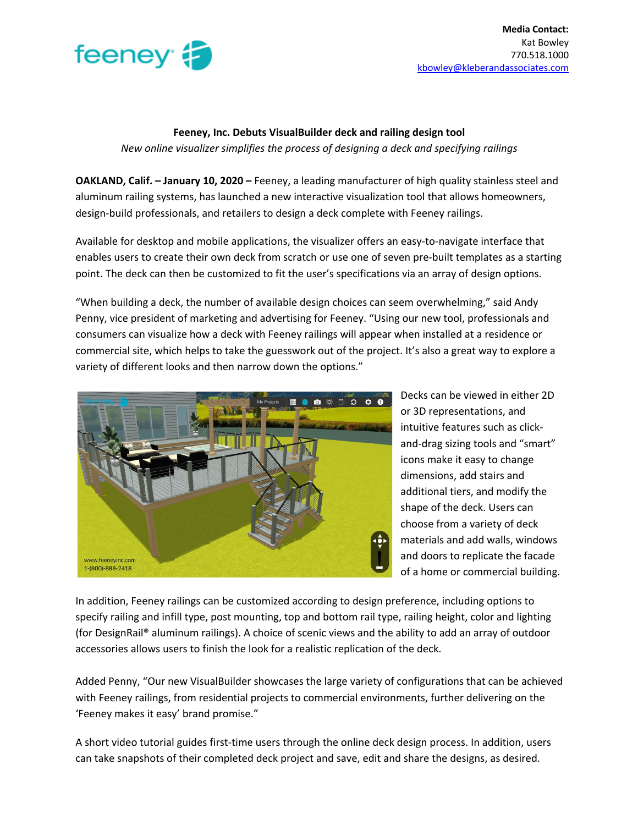

## **Feeney, Inc. Debuts VisualBuilder deck and railing design tool** *New online visualizer simplifies the process of designing a deck and specifying railings*

**OAKLAND, Calif. – January 10, 2020 –** Feeney, a leading manufacturer of high quality stainless steel and aluminum railing systems, has launched a new interactive visualization tool that allows homeowners, design-build professionals, and retailers to design a deck complete with Feeney railings.

Available for desktop and mobile applications, the visualizer offers an easy-to-navigate interface that enables users to create their own deck from scratch or use one of seven pre-built templates as a starting point. The deck can then be customized to fit the user's specifications via an array of design options.

"When building a deck, the number of available design choices can seem overwhelming," said Andy Penny, vice president of marketing and advertising for Feeney. "Using our new tool, professionals and consumers can visualize how a deck with Feeney railings will appear when installed at a residence or commercial site, which helps to take the guesswork out of the project. It's also a great way to explore a variety of different looks and then narrow down the options."



Decks can be viewed in either 2D or 3D representations, and intuitive features such as clickand-drag sizing tools and "smart" icons make it easy to change dimensions, add stairs and additional tiers, and modify the shape of the deck. Users can choose from a variety of deck materials and add walls, windows and doors to replicate the facade of a home or commercial building.

In addition, Feeney railings can be customized according to design preference, including options to specify railing and infill type, post mounting, top and bottom rail type, railing height, color and lighting (for DesignRail® aluminum railings). A choice of scenic views and the ability to add an array of outdoor accessories allows users to finish the look for a realistic replication of the deck.

Added Penny, "Our new VisualBuilder showcases the large variety of configurations that can be achieved with Feeney railings, from residential projects to commercial environments, further delivering on the 'Feeney makes it easy' brand promise."

A short video tutorial guides first-time users through the online deck design process. In addition, users can take snapshots of their completed deck project and save, edit and share the designs, as desired.